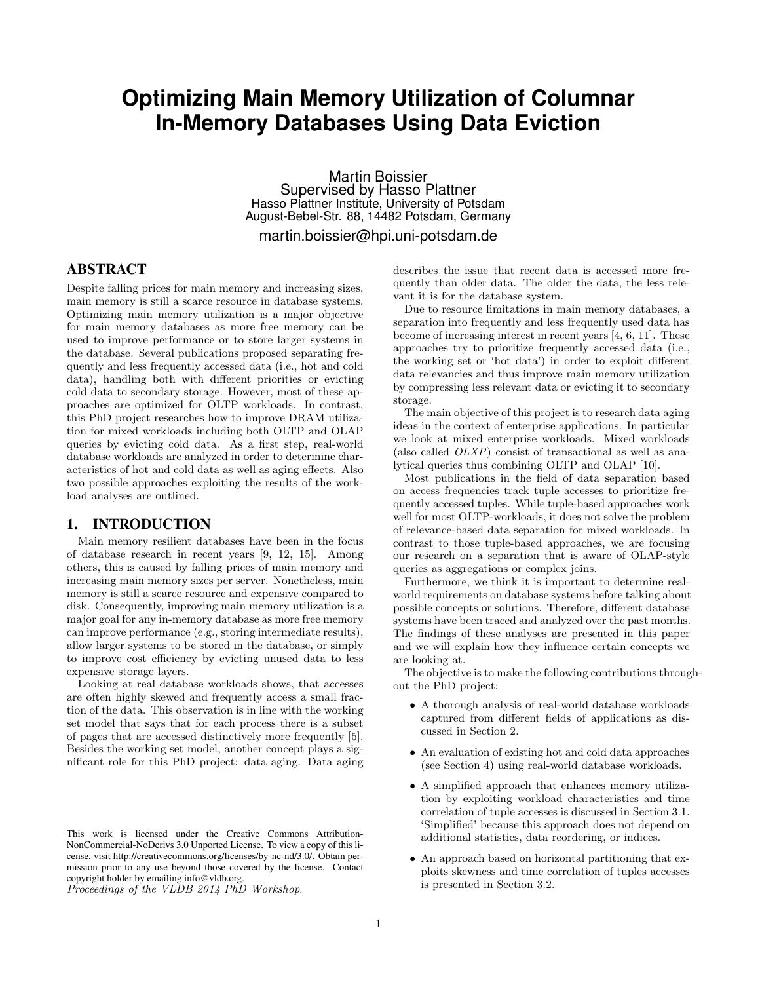# **Optimizing Main Memory Utilization of Columnar In-Memory Databases Using Data Eviction**

Martin Boissier Supervised by Hasso Plattner Hasso Plattner Institute, University of Potsdam August-Bebel-Str. 88, 14482 Potsdam, Germany martin.boissier@hpi.uni-potsdam.de

# ABSTRACT

Despite falling prices for main memory and increasing sizes, main memory is still a scarce resource in database systems. Optimizing main memory utilization is a major objective for main memory databases as more free memory can be used to improve performance or to store larger systems in the database. Several publications proposed separating frequently and less frequently accessed data (i.e., hot and cold data), handling both with different priorities or evicting cold data to secondary storage. However, most of these approaches are optimized for OLTP workloads. In contrast, this PhD project researches how to improve DRAM utilization for mixed workloads including both OLTP and OLAP queries by evicting cold data. As a first step, real-world database workloads are analyzed in order to determine characteristics of hot and cold data as well as aging effects. Also two possible approaches exploiting the results of the workload analyses are outlined.

## 1. INTRODUCTION

Main memory resilient databases have been in the focus of database research in recent years [9, 12, 15]. Among others, this is caused by falling prices of main memory and increasing main memory sizes per server. Nonetheless, main memory is still a scarce resource and expensive compared to disk. Consequently, improving main memory utilization is a major goal for any in-memory database as more free memory can improve performance (e.g., storing intermediate results), allow larger systems to be stored in the database, or simply to improve cost efficiency by evicting unused data to less expensive storage layers.

Looking at real database workloads shows, that accesses are often highly skewed and frequently access a small fraction of the data. This observation is in line with the working set model that says that for each process there is a subset of pages that are accessed distinctively more frequently [5]. Besides the working set model, another concept plays a significant role for this PhD project: data aging. Data aging

Proceedings of the VLDB 2014 PhD Workshop.

describes the issue that recent data is accessed more frequently than older data. The older the data, the less relevant it is for the database system.

Due to resource limitations in main memory databases, a separation into frequently and less frequently used data has become of increasing interest in recent years [4, 6, 11]. These approaches try to prioritize frequently accessed data (i.e., the working set or 'hot data') in order to exploit different data relevancies and thus improve main memory utilization by compressing less relevant data or evicting it to secondary storage.

The main objective of this project is to research data aging ideas in the context of enterprise applications. In particular we look at mixed enterprise workloads. Mixed workloads (also called  $OLXP$ ) consist of transactional as well as analytical queries thus combining OLTP and OLAP [10].

Most publications in the field of data separation based on access frequencies track tuple accesses to prioritize frequently accessed tuples. While tuple-based approaches work well for most OLTP-workloads, it does not solve the problem of relevance-based data separation for mixed workloads. In contrast to those tuple-based approaches, we are focusing our research on a separation that is aware of OLAP-style queries as aggregations or complex joins.

Furthermore, we think it is important to determine realworld requirements on database systems before talking about possible concepts or solutions. Therefore, different database systems have been traced and analyzed over the past months. The findings of these analyses are presented in this paper and we will explain how they influence certain concepts we are looking at.

The objective is to make the following contributions throughout the PhD project:

- A thorough analysis of real-world database workloads captured from different fields of applications as discussed in Section 2.
- An evaluation of existing hot and cold data approaches (see Section 4) using real-world database workloads.
- A simplified approach that enhances memory utilization by exploiting workload characteristics and time correlation of tuple accesses is discussed in Section 3.1. 'Simplified' because this approach does not depend on additional statistics, data reordering, or indices.
- An approach based on horizontal partitioning that exploits skewness and time correlation of tuples accesses is presented in Section 3.2.

This work is licensed under the Creative Commons Attribution-NonCommercial-NoDerivs 3.0 Unported License. To view a copy of this license, visit http://creativecommons.org/licenses/by-nc-nd/3.0/. Obtain permission prior to any use beyond those covered by the license. Contact copyright holder by emailing info@vldb.org.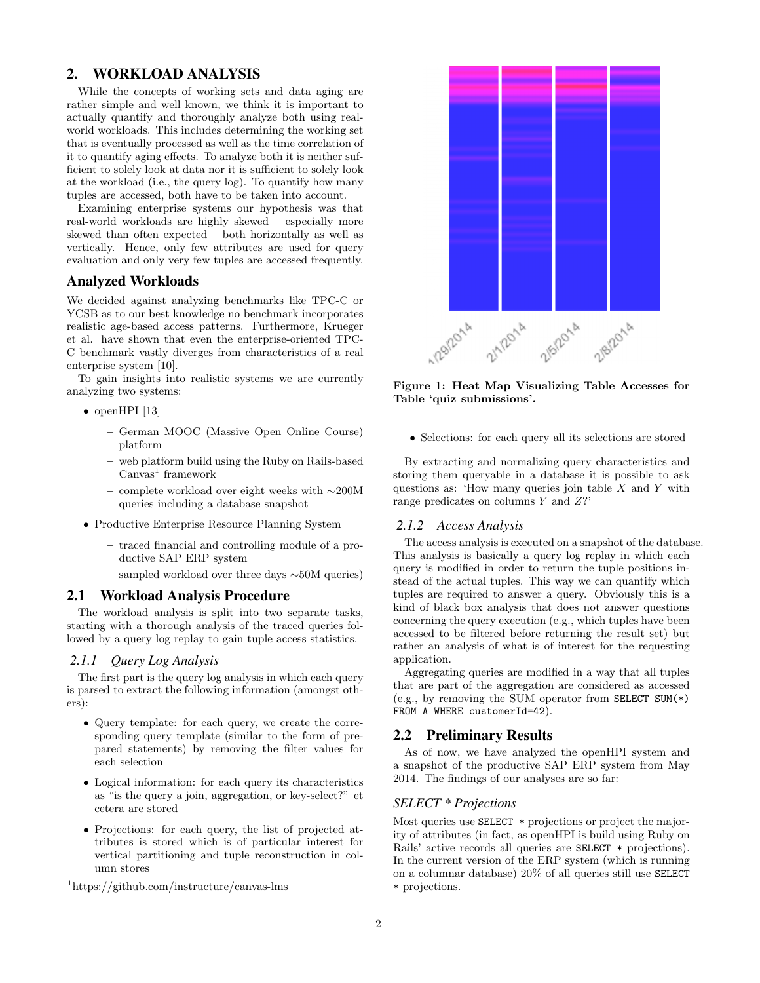# 2. WORKLOAD ANALYSIS

While the concepts of working sets and data aging are rather simple and well known, we think it is important to actually quantify and thoroughly analyze both using realworld workloads. This includes determining the working set that is eventually processed as well as the time correlation of it to quantify aging effects. To analyze both it is neither sufficient to solely look at data nor it is sufficient to solely look at the workload (i.e., the query log). To quantify how many tuples are accessed, both have to be taken into account.

Examining enterprise systems our hypothesis was that real-world workloads are highly skewed – especially more skewed than often expected – both horizontally as well as vertically. Hence, only few attributes are used for query evaluation and only very few tuples are accessed frequently.

## Analyzed Workloads

We decided against analyzing benchmarks like TPC-C or YCSB as to our best knowledge no benchmark incorporates realistic age-based access patterns. Furthermore, Krueger et al. have shown that even the enterprise-oriented TPC-C benchmark vastly diverges from characteristics of a real enterprise system [10].

To gain insights into realistic systems we are currently analyzing two systems:

- openHPI [13]
	- German MOOC (Massive Open Online Course) platform
	- web platform build using the Ruby on Rails-based  $\text{Canvas}^1$  framework
	- complete workload over eight weeks with ∼200M queries including a database snapshot
- Productive Enterprise Resource Planning System
	- traced financial and controlling module of a productive SAP ERP system
	- sampled workload over three days ∼50M queries)

#### 2.1 Workload Analysis Procedure

The workload analysis is split into two separate tasks, starting with a thorough analysis of the traced queries followed by a query log replay to gain tuple access statistics.

#### *2.1.1 Query Log Analysis*

The first part is the query log analysis in which each query is parsed to extract the following information (amongst others):

- Query template: for each query, we create the corresponding query template (similar to the form of prepared statements) by removing the filter values for each selection
- Logical information: for each query its characteristics as "is the query a join, aggregation, or key-select?" et cetera are stored
- Projections: for each query, the list of projected attributes is stored which is of particular interest for vertical partitioning and tuple reconstruction in column stores



Figure 1: Heat Map Visualizing Table Accesses for Table 'quiz\_submissions'.

• Selections: for each query all its selections are stored

By extracting and normalizing query characteristics and storing them queryable in a database it is possible to ask questions as: 'How many queries join table  $X$  and  $Y$  with range predicates on columns Y and Z?'

#### *2.1.2 Access Analysis*

The access analysis is executed on a snapshot of the database. This analysis is basically a query log replay in which each query is modified in order to return the tuple positions instead of the actual tuples. This way we can quantify which tuples are required to answer a query. Obviously this is a kind of black box analysis that does not answer questions concerning the query execution (e.g., which tuples have been accessed to be filtered before returning the result set) but rather an analysis of what is of interest for the requesting application.

Aggregating queries are modified in a way that all tuples that are part of the aggregation are considered as accessed (e.g., by removing the SUM operator from SELECT SUM(\*) FROM A WHERE customerId=42).

## 2.2 Preliminary Results

As of now, we have analyzed the openHPI system and a snapshot of the productive SAP ERP system from May 2014. The findings of our analyses are so far:

#### *SELECT \* Projections*

Most queries use SELECT \* projections or project the majority of attributes (in fact, as openHPI is build using Ruby on Rails' active records all queries are SELECT \* projections). In the current version of the ERP system (which is running on a columnar database) 20% of all queries still use SELECT \* projections.

<sup>1</sup>https://github.com/instructure/canvas-lms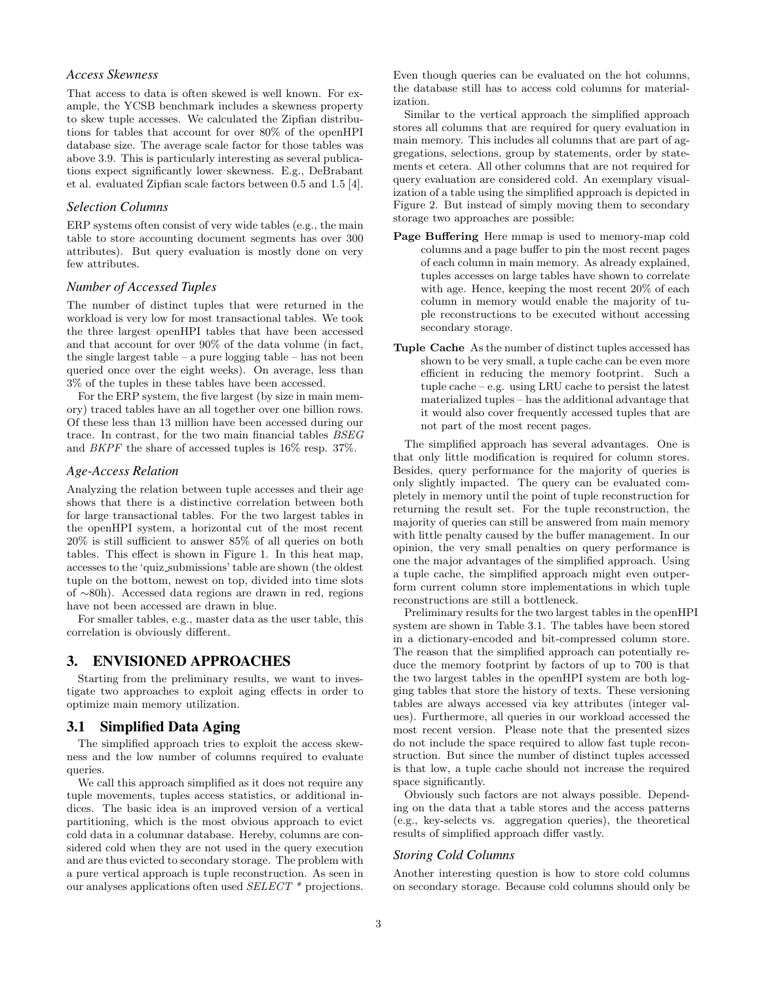## *Access Skewness*

That access to data is often skewed is well known. For example, the YCSB benchmark includes a skewness property to skew tuple accesses. We calculated the Zipfian distributions for tables that account for over 80% of the openHPI database size. The average scale factor for those tables was above 3.9. This is particularly interesting as several publications expect significantly lower skewness. E.g., DeBrabant et al. evaluated Zipfian scale factors between 0.5 and 1.5 [4].

#### *Selection Columns*

ERP systems often consist of very wide tables (e.g., the main table to store accounting document segments has over 300 attributes). But query evaluation is mostly done on very few attributes.

#### *Number of Accessed Tuples*

The number of distinct tuples that were returned in the workload is very low for most transactional tables. We took the three largest openHPI tables that have been accessed and that account for over 90% of the data volume (in fact, the single largest table – a pure logging table – has not been queried once over the eight weeks). On average, less than 3% of the tuples in these tables have been accessed.

For the ERP system, the five largest (by size in main memory) traced tables have an all together over one billion rows. Of these less than 13 million have been accessed during our trace. In contrast, for the two main financial tables BSEG and BKPF the share of accessed tuples is 16% resp. 37%.

#### *Age-Access Relation*

Analyzing the relation between tuple accesses and their age shows that there is a distinctive correlation between both for large transactional tables. For the two largest tables in the openHPI system, a horizontal cut of the most recent 20% is still sufficient to answer 85% of all queries on both tables. This effect is shown in Figure 1. In this heat map, accesses to the 'quiz submissions' table are shown (the oldest tuple on the bottom, newest on top, divided into time slots of ∼80h). Accessed data regions are drawn in red, regions have not been accessed are drawn in blue.

For smaller tables, e.g., master data as the user table, this correlation is obviously different.

## 3. ENVISIONED APPROACHES

Starting from the preliminary results, we want to investigate two approaches to exploit aging effects in order to optimize main memory utilization.

#### 3.1 Simplified Data Aging

The simplified approach tries to exploit the access skewness and the low number of columns required to evaluate queries.

We call this approach simplified as it does not require any tuple movements, tuples access statistics, or additional indices. The basic idea is an improved version of a vertical partitioning, which is the most obvious approach to evict cold data in a columnar database. Hereby, columns are considered cold when they are not used in the query execution and are thus evicted to secondary storage. The problem with a pure vertical approach is tuple reconstruction. As seen in our analyses applications often used SELECT \* projections. Even though queries can be evaluated on the hot columns, the database still has to access cold columns for materialization.

Similar to the vertical approach the simplified approach stores all columns that are required for query evaluation in main memory. This includes all columns that are part of aggregations, selections, group by statements, order by statements et cetera. All other columns that are not required for query evaluation are considered cold. An exemplary visualization of a table using the simplified approach is depicted in Figure 2. But instead of simply moving them to secondary storage two approaches are possible:

- Page Buffering Here mmap is used to memory-map cold columns and a page buffer to pin the most recent pages of each column in main memory. As already explained, tuples accesses on large tables have shown to correlate with age. Hence, keeping the most recent 20% of each column in memory would enable the majority of tuple reconstructions to be executed without accessing secondary storage.
- Tuple Cache As the number of distinct tuples accessed has shown to be very small, a tuple cache can be even more efficient in reducing the memory footprint. Such a tuple cache – e.g. using LRU cache to persist the latest materialized tuples – has the additional advantage that it would also cover frequently accessed tuples that are not part of the most recent pages.

The simplified approach has several advantages. One is that only little modification is required for column stores. Besides, query performance for the majority of queries is only slightly impacted. The query can be evaluated completely in memory until the point of tuple reconstruction for returning the result set. For the tuple reconstruction, the majority of queries can still be answered from main memory with little penalty caused by the buffer management. In our opinion, the very small penalties on query performance is one the major advantages of the simplified approach. Using a tuple cache, the simplified approach might even outperform current column store implementations in which tuple reconstructions are still a bottleneck.

Preliminary results for the two largest tables in the openHPI system are shown in Table 3.1. The tables have been stored in a dictionary-encoded and bit-compressed column store. The reason that the simplified approach can potentially reduce the memory footprint by factors of up to 700 is that the two largest tables in the openHPI system are both logging tables that store the history of texts. These versioning tables are always accessed via key attributes (integer values). Furthermore, all queries in our workload accessed the most recent version. Please note that the presented sizes do not include the space required to allow fast tuple reconstruction. But since the number of distinct tuples accessed is that low, a tuple cache should not increase the required space significantly.

Obviously such factors are not always possible. Depending on the data that a table stores and the access patterns (e.g., key-selects vs. aggregation queries), the theoretical results of simplified approach differ vastly.

#### *Storing Cold Columns*

Another interesting question is how to store cold columns on secondary storage. Because cold columns should only be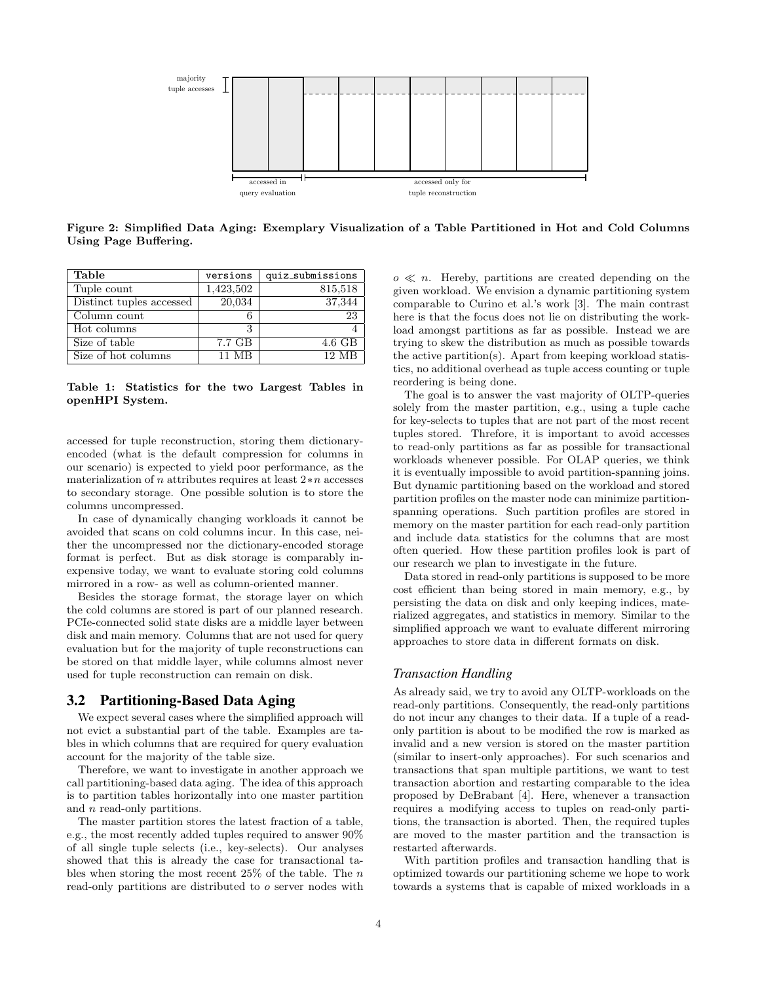

Figure 2: Simplified Data Aging: Exemplary Visualization of a Table Partitioned in Hot and Cold Columns Using Page Buffering.

| Table                    | versions  | quiz_submissions   |
|--------------------------|-----------|--------------------|
| Tuple count              | 1,423,502 | 815,518            |
| Distinct tuples accessed | 20,034    | 37,344             |
| Column count             |           | 23                 |
| Hot columns              | 3         |                    |
| Size of table            | 7.7 GB    | $4.6\text{ GB}$    |
| Size of hot columns      | 11 MR     | $12 \overline{MR}$ |

Table 1: Statistics for the two Largest Tables in openHPI System.

accessed for tuple reconstruction, storing them dictionaryencoded (what is the default compression for columns in our scenario) is expected to yield poor performance, as the materialization of n attributes requires at least 2∗n accesses to secondary storage. One possible solution is to store the columns uncompressed.

In case of dynamically changing workloads it cannot be avoided that scans on cold columns incur. In this case, neither the uncompressed nor the dictionary-encoded storage format is perfect. But as disk storage is comparably inexpensive today, we want to evaluate storing cold columns mirrored in a row- as well as column-oriented manner.

Besides the storage format, the storage layer on which the cold columns are stored is part of our planned research. PCIe-connected solid state disks are a middle layer between disk and main memory. Columns that are not used for query evaluation but for the majority of tuple reconstructions can be stored on that middle layer, while columns almost never used for tuple reconstruction can remain on disk.

#### 3.2 Partitioning-Based Data Aging

We expect several cases where the simplified approach will not evict a substantial part of the table. Examples are tables in which columns that are required for query evaluation account for the majority of the table size.

Therefore, we want to investigate in another approach we call partitioning-based data aging. The idea of this approach is to partition tables horizontally into one master partition and n read-only partitions.

The master partition stores the latest fraction of a table, e.g., the most recently added tuples required to answer 90% of all single tuple selects (i.e., key-selects). Our analyses showed that this is already the case for transactional tables when storing the most recent  $25\%$  of the table. The n read-only partitions are distributed to o server nodes with

 $o \ll n$ . Hereby, partitions are created depending on the given workload. We envision a dynamic partitioning system comparable to Curino et al.'s work [3]. The main contrast here is that the focus does not lie on distributing the workload amongst partitions as far as possible. Instead we are trying to skew the distribution as much as possible towards the active partition(s). Apart from keeping workload statistics, no additional overhead as tuple access counting or tuple reordering is being done.

The goal is to answer the vast majority of OLTP-queries solely from the master partition, e.g., using a tuple cache for key-selects to tuples that are not part of the most recent tuples stored. Threfore, it is important to avoid accesses to read-only partitions as far as possible for transactional workloads whenever possible. For OLAP queries, we think it is eventually impossible to avoid partition-spanning joins. But dynamic partitioning based on the workload and stored partition profiles on the master node can minimize partitionspanning operations. Such partition profiles are stored in memory on the master partition for each read-only partition and include data statistics for the columns that are most often queried. How these partition profiles look is part of our research we plan to investigate in the future.

Data stored in read-only partitions is supposed to be more cost efficient than being stored in main memory, e.g., by persisting the data on disk and only keeping indices, materialized aggregates, and statistics in memory. Similar to the simplified approach we want to evaluate different mirroring approaches to store data in different formats on disk.

#### *Transaction Handling*

As already said, we try to avoid any OLTP-workloads on the read-only partitions. Consequently, the read-only partitions do not incur any changes to their data. If a tuple of a readonly partition is about to be modified the row is marked as invalid and a new version is stored on the master partition (similar to insert-only approaches). For such scenarios and transactions that span multiple partitions, we want to test transaction abortion and restarting comparable to the idea proposed by DeBrabant [4]. Here, whenever a transaction requires a modifying access to tuples on read-only partitions, the transaction is aborted. Then, the required tuples are moved to the master partition and the transaction is restarted afterwards.

With partition profiles and transaction handling that is optimized towards our partitioning scheme we hope to work towards a systems that is capable of mixed workloads in a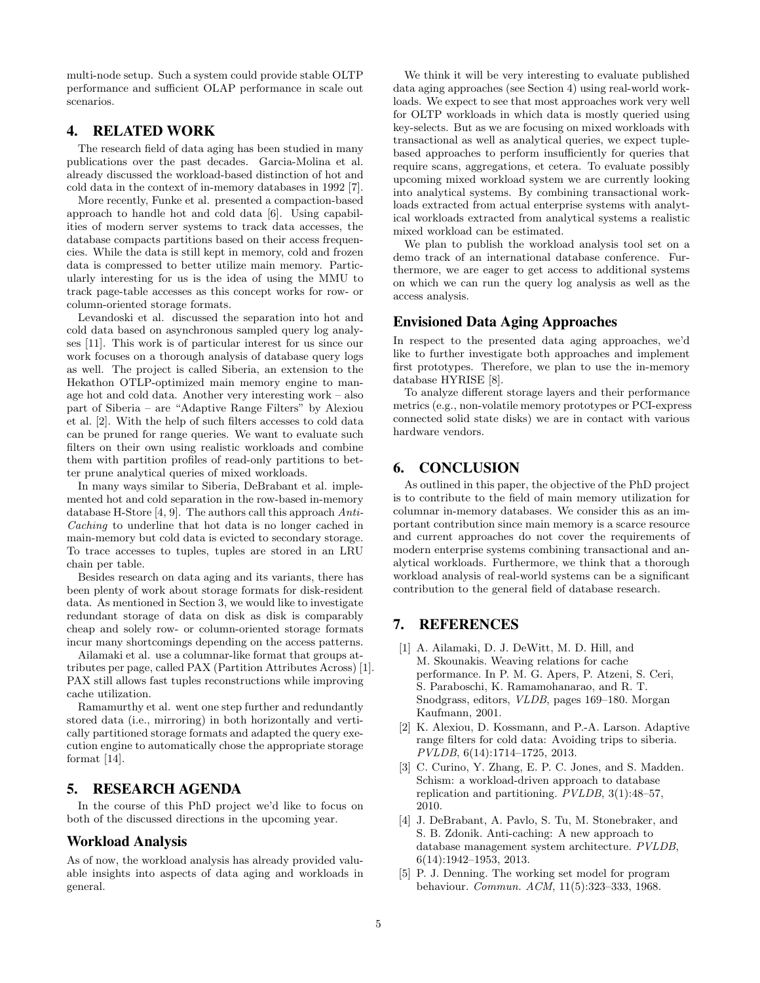multi-node setup. Such a system could provide stable OLTP performance and sufficient OLAP performance in scale out scenarios.

## 4. RELATED WORK

The research field of data aging has been studied in many publications over the past decades. Garcia-Molina et al. already discussed the workload-based distinction of hot and cold data in the context of in-memory databases in 1992 [7].

More recently, Funke et al. presented a compaction-based approach to handle hot and cold data [6]. Using capabilities of modern server systems to track data accesses, the database compacts partitions based on their access frequencies. While the data is still kept in memory, cold and frozen data is compressed to better utilize main memory. Particularly interesting for us is the idea of using the MMU to track page-table accesses as this concept works for row- or column-oriented storage formats.

Levandoski et al. discussed the separation into hot and cold data based on asynchronous sampled query log analyses [11]. This work is of particular interest for us since our work focuses on a thorough analysis of database query logs as well. The project is called Siberia, an extension to the Hekathon OTLP-optimized main memory engine to manage hot and cold data. Another very interesting work – also part of Siberia – are "Adaptive Range Filters" by Alexiou et al. [2]. With the help of such filters accesses to cold data can be pruned for range queries. We want to evaluate such filters on their own using realistic workloads and combine them with partition profiles of read-only partitions to better prune analytical queries of mixed workloads.

In many ways similar to Siberia, DeBrabant et al. implemented hot and cold separation in the row-based in-memory database H-Store [4, 9]. The authors call this approach Anti-Caching to underline that hot data is no longer cached in main-memory but cold data is evicted to secondary storage. To trace accesses to tuples, tuples are stored in an LRU chain per table.

Besides research on data aging and its variants, there has been plenty of work about storage formats for disk-resident data. As mentioned in Section 3, we would like to investigate redundant storage of data on disk as disk is comparably cheap and solely row- or column-oriented storage formats incur many shortcomings depending on the access patterns.

Ailamaki et al. use a columnar-like format that groups attributes per page, called PAX (Partition Attributes Across) [1]. PAX still allows fast tuples reconstructions while improving cache utilization.

Ramamurthy et al. went one step further and redundantly stored data (i.e., mirroring) in both horizontally and vertically partitioned storage formats and adapted the query execution engine to automatically chose the appropriate storage format [14].

## 5. RESEARCH AGENDA

In the course of this PhD project we'd like to focus on both of the discussed directions in the upcoming year.

#### Workload Analysis

As of now, the workload analysis has already provided valuable insights into aspects of data aging and workloads in general.

We think it will be very interesting to evaluate published data aging approaches (see Section 4) using real-world workloads. We expect to see that most approaches work very well for OLTP workloads in which data is mostly queried using key-selects. But as we are focusing on mixed workloads with transactional as well as analytical queries, we expect tuplebased approaches to perform insufficiently for queries that require scans, aggregations, et cetera. To evaluate possibly upcoming mixed workload system we are currently looking into analytical systems. By combining transactional workloads extracted from actual enterprise systems with analytical workloads extracted from analytical systems a realistic mixed workload can be estimated.

We plan to publish the workload analysis tool set on a demo track of an international database conference. Furthermore, we are eager to get access to additional systems on which we can run the query log analysis as well as the access analysis.

## Envisioned Data Aging Approaches

In respect to the presented data aging approaches, we'd like to further investigate both approaches and implement first prototypes. Therefore, we plan to use the in-memory database HYRISE [8].

To analyze different storage layers and their performance metrics (e.g., non-volatile memory prototypes or PCI-express connected solid state disks) we are in contact with various hardware vendors.

## 6. CONCLUSION

As outlined in this paper, the objective of the PhD project is to contribute to the field of main memory utilization for columnar in-memory databases. We consider this as an important contribution since main memory is a scarce resource and current approaches do not cover the requirements of modern enterprise systems combining transactional and analytical workloads. Furthermore, we think that a thorough workload analysis of real-world systems can be a significant contribution to the general field of database research.

## 7. REFERENCES

- [1] A. Ailamaki, D. J. DeWitt, M. D. Hill, and M. Skounakis. Weaving relations for cache performance. In P. M. G. Apers, P. Atzeni, S. Ceri, S. Paraboschi, K. Ramamohanarao, and R. T. Snodgrass, editors, VLDB, pages 169–180. Morgan Kaufmann, 2001.
- [2] K. Alexiou, D. Kossmann, and P.-A. Larson. Adaptive range filters for cold data: Avoiding trips to siberia. PVLDB, 6(14):1714–1725, 2013.
- [3] C. Curino, Y. Zhang, E. P. C. Jones, and S. Madden. Schism: a workload-driven approach to database replication and partitioning. PVLDB, 3(1):48–57, 2010.
- [4] J. DeBrabant, A. Pavlo, S. Tu, M. Stonebraker, and S. B. Zdonik. Anti-caching: A new approach to database management system architecture. PVLDB, 6(14):1942–1953, 2013.
- [5] P. J. Denning. The working set model for program behaviour. Commun. ACM, 11(5):323–333, 1968.